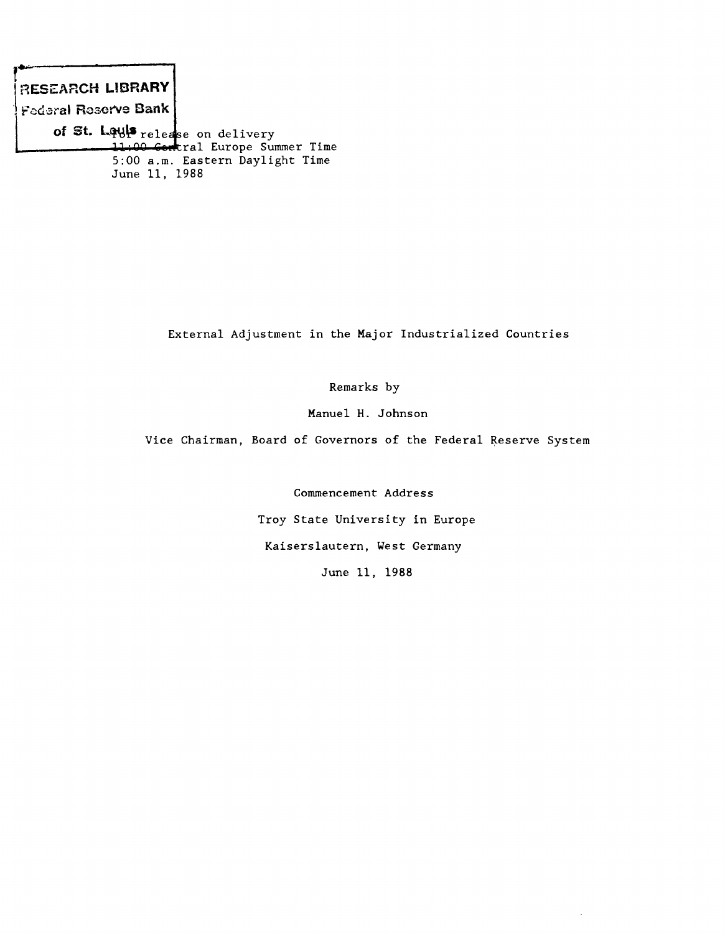**¡r\*"-------------------** RESEARCH LIBRARY Federal Reserve Bank of St. Ufljl\* **release on delivery 111 00 Goirtral Europe Summer Time 5:00 a.m. Eastern Daylight Time June 11, 1988**

**External Adjustment in the Major Industrialized Countries**

**Remarks by**

**Manuel H. Johnson**

**Vice Chairman, Board of Governors of the Federal Reserve System**

**Commencement Address**

**Troy State University in Europe**

**Kaiserslautern, West Germany**

**June 11, 1988**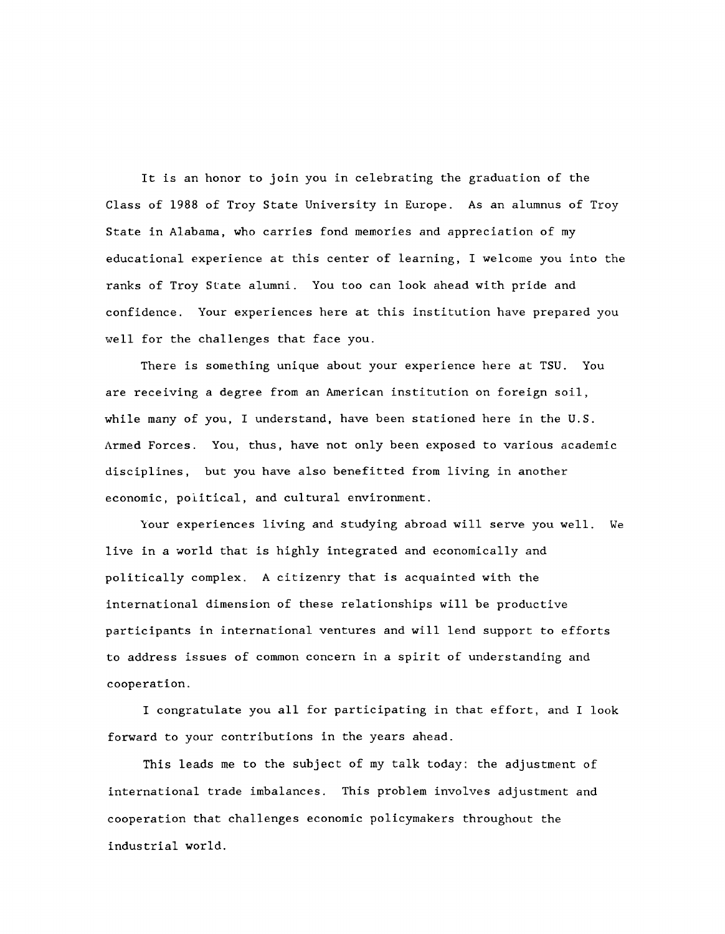**It is an honor to join you in celebrating the graduation of the Class of 1988 of Troy State University in Europe. As an alumnus of Troy State in Alabama, who carries fond memories and appreciation of my educational experience at this center of learning, I welcome you into the ranks of Troy Slate alumni. You too can look ahead with pride and confidence. Your experiences here at this institution have prepared you well for the challenges that face you.**

**There is something unique about your experience here at TSU. You are receiving a degree from an American institution on foreign soil, while many of you, I understand, have been stationed here in the U.S. Armed Forces. You, thus, have not only been exposed to various academic disciplines, but you have also benefitted from living in another economic, political, and cultural environment.**

**Your experiences living and studying abroad will serve you well. We live in a world that is highly integrated and economically and politically complex. A citizenry that is acquainted with the international dimension of these relationships will be productive participants in international ventures and will lend support to efforts** to address issues of common concern in a spirit of understanding and **cooperation.**

**I congratulate you all for participating in that effort, and I look forward to your contributions in the years ahead.**

**This leads me to the subject of my talk today: the adjustment of international trade imbalances. This problem involves adjustment and cooperation that challenges economic policymakers throughout the industrial world.**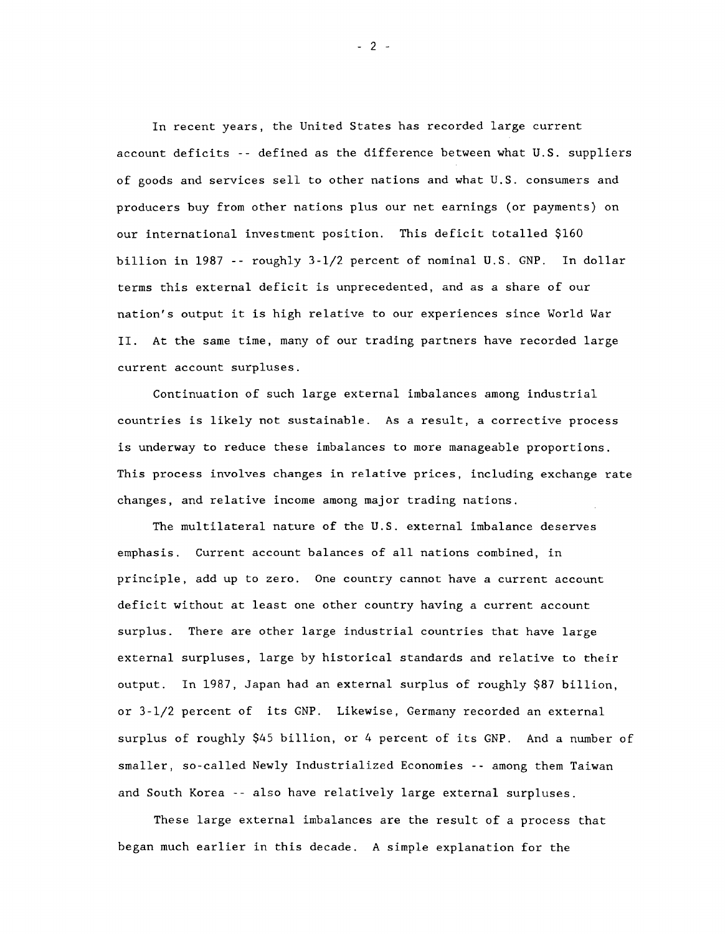**In recent years, the United States has recorded large current account deficits -- defined as the difference between what U.S. suppliers of goods and services sell to other nations and what U.S. consumers and producers buy from other nations plus our net earnings (or payments) on our international investment position. This deficit totalled \$160 billion in 1987 -- roughly 3-1/2 percent of nominal U.S. GNP. In dollar terms this external deficit is unprecedented, and as a share of our nation's output it is high relative to our experiences since World War II. At the same time, many of our trading partners have recorded large current account surpluses.**

**Continuation of such large external imbalances among industrial countries is likely not sustainable. As a result, a corrective process is underway to reduce these imbalances to more manageable proportions. This process involves changes in relative prices, including exchange rate changes, and relative income among major trading nations.**

**The multilateral nature of the U.S. external imbalance deserves emphasis. Current account balances of all nations combined, in principle, add up to zero. One country cannot have a current account deficit without at least one other country having a current account surplus. There are other large industrial countries that have large external surpluses, large by historical standards and relative to their output. In 1987, Japan had an external surplus of roughly \$87 billion, or 3-1/2 percent of its GNP. Likewise, Germany recorded an external surplus of roughly \$45 billion, or 4 percent of its GNP. And a number of smaller, so-called Newly Industrialized Economies -- among them Taiwan and South Korea -- also have relatively large external surpluses.**

**These large external imbalances are the result of a process that began much earlier in this decade. A simple explanation for the**

 $-2-$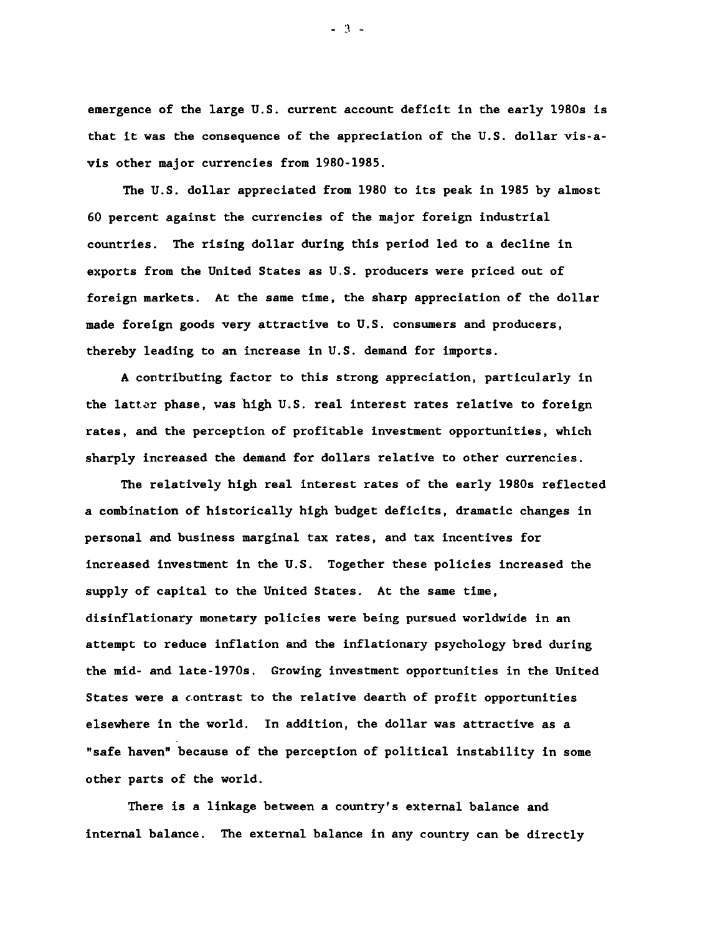**emergence of the large U.S. current account deficit in the early 1980s is that it was the consequence of the appreciation of the U.S. dollar vis-avis other major currencies from 1980-1985.**

**The U.S. dollar appreciated from 1980 to its peak in 1985 by almost 60 percent against the currencies of the major foreign industrial countries. The rising dollar during this period led to a decline in exports from the United States as U.S. producers were priced out of foreign markets. At the same time, the sharp appreciation of the dollar made foreign goods very attractive to U.S. consumers and producers, thereby leading to an increase in U.S. demand for imports.**

**A contributing factor to this strong appreciation, particularly in the lattor phase, was high U.S. real interest rates relative to foreign rates, and the perception of profitable investment opportunities, which sharply increased the demand for dollars relative to other currencies.**

**The relatively high real interest rates of the early 1980s reflected a combination of historically high budget deficits, dramatic changes in personal and business marginal tax rates, and tax incentives for increased investment in the U.S. Together these policies increased the supply of capital to the United States. At the same time, disinflationary monetary policies were being pursued worldwide in an attempt to reduce inflation and the inflationary psychology bred during the mid- and late-1970s. Growing investment opportunities in the United States were a contrast to the relative dearth of profit opportunities elsewhere in the world. In addition, the dollar was attractive as a "safe haven" because of the perception of political instability in some other parts of the world.**

**There is a linkage between a country's external balance and internal balance. The external balance in any country can be directly**

 $-3 -$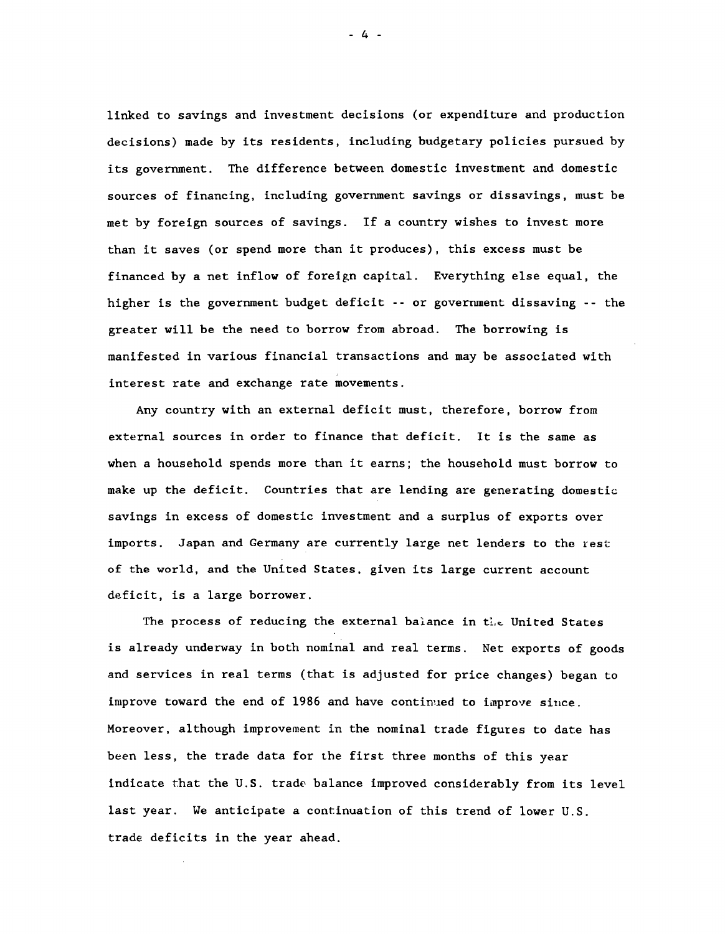**linked to savings and investment decisions (or expenditure and production decisions) made by its residents, including budgetary policies pursued by its government. The difference between domestic investment and domestic sources of financing, including government savings or dissavings, must be met by foreign sources of savings. If a country wishes to invest more than it saves (or spend more than it produces), this excess must be financed by a net inflow of foreign capital. Everything else equal, the higher is the government budget deficit --or government dissaving -- the greater will be the need to borrow from abroad. The borrowing is manifested in various financial transactions and may be associated with interest rate and exchange rate movements.**

**Any country with an external deficit must, therefore, borrow from external sources in order to finance that deficit. It is the same as when a household spends more than it earns; the household must borrow to make up the deficit. Countries that are lending are generating domestic savings in excess of domestic investment and a surplus of exports over imports. Japan and Germany are currently large net lenders to the rest of the world, and the United States, given its large current account deficit, is a large borrower.**

The process of reducing the external balance in the United States **is already underway in both nominal and real terms. Net exports of goods and services in real terms (that is adjusted for price changes) began to improve toward the end of 1986 and have continued to improve since. Moreover, although improvement in the nominal trade figures to date has been less, the trade data for the first three months of this year indicate that the U.S. trade balance improved considerably from its level last year. We anticipate a continuation of this trend of lower U.S. trade deficits in the year ahead.**

**- 4 -**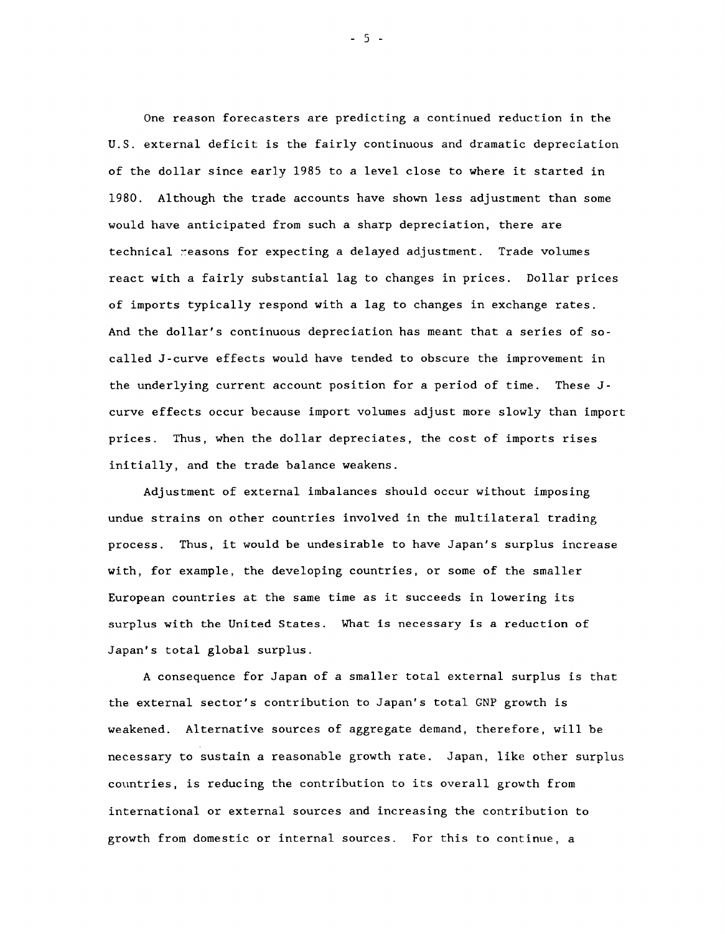**One reason forecasters are predicting a continued reduction in the U.S. external deficit is the fairly continuous and dramatic depreciation of the dollar since early 1985 to a level close to where it started in 1980. Although the trade accounts have shown less adjustment than some would have anticipated from such a sharp depreciation, there are technical reasons for expecting a delayed adjustment. Trade volumes react with a fairly substantial lag to changes in prices. Dollar prices of imports typically respond with a lag to changes in exchange rates. And the dollar's continuous depreciation has meant that a series of socalled J-curve effects would have tended to obscure the improvement in the underlying current account position for a period of time. These Jcurve effects occur because import volumes adjust more slowly than import prices. Thus, when the dollar depreciates, the cost of imports rises initially, and the trade balance weakens.**

**Adjustment of external imbalances should occur without imposing undue strains on other countries involved in the multilateral trading process. Thus, it would be undesirable to have Japan's surplus increase with, for example, the developing countries, or some of the smaller European countries at the same time as it succeeds in lowering its** surplus with the United States. What is necessary is a reduction **of Japan's total global surplus.**

**A consequence for Japan of a smaller total external surplus is that the external sector's contribution to Japan's total GNP growth is weakened. Alternative sources of aggregate demand, therefore, will be necessary to sustain a reasonable growth rate. Japan, like other surplus countries, is reducing the contribution to its overall growth from international or external sources and increasing the contribution to growth from domestic or internal sources. For this to continue, a**

- 5 -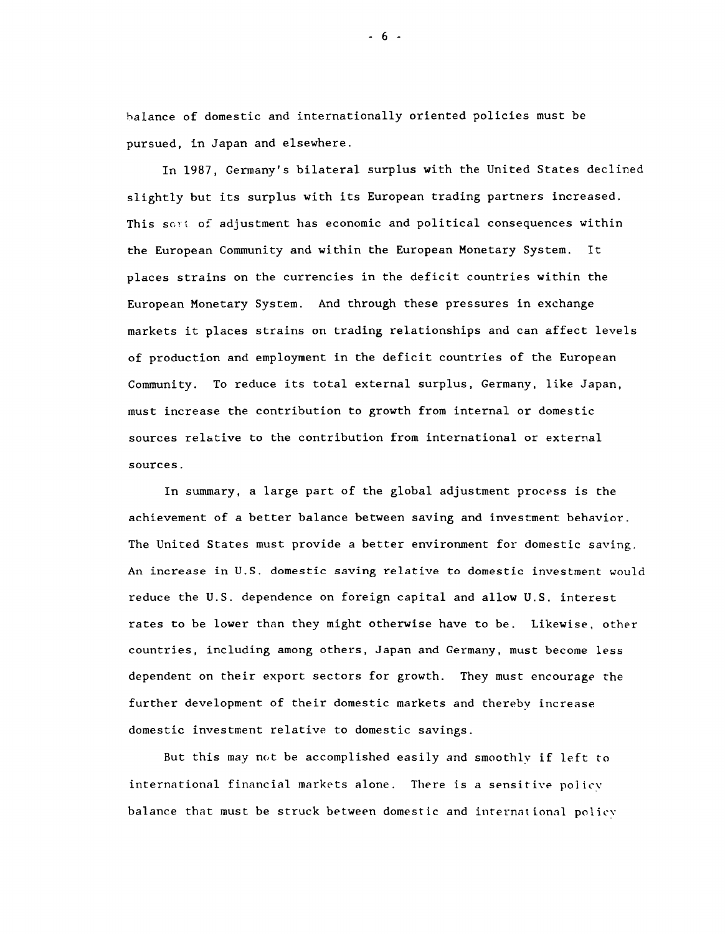**balance of domestic and internationally oriented policies must be pursued, in Japan and elsewhere.**

**In 1987, Germany's bilateral surplus with the United States declined slightly but its surplus with its European trading partners increased. This sort, of adjustment has economic and political consequences within the European Community and within the European Monetary System. It places strains on the currencies in the deficit countries within the European Monetary System. And through these pressures in exchange markets it places strains on trading relationships and can affect levels of production and employment in the deficit countries of the European Community. To reduce its total external surplus, Germany, like Japan, must increase the contribution to growth from internal or domestic sources relative to the contribution from international or external sources.**

**In summary, a large part of the global adjustment process is the achievement of a better balance between saving and investment behavior. The United States must provide a better environment for domestic saving. An increase in U.S. domestic saving relative to domestic investment would reduce the U.S. dependence on foreign capital and allow U.S. interest rates to be lower than they might otherwise have to be. Likewise, other countries, including among others, Japan and Germany, must become less dependent on their export sectors for growth. They must encourage the further development of their domestic markets and thereby increase domestic investment relative to domestic savings.**

**But this may not be accomplished easily and smoothly if left to international financial markets alone. There is a sensitive policv balance that must be struck between domestic and international policv**

**- 6 -**